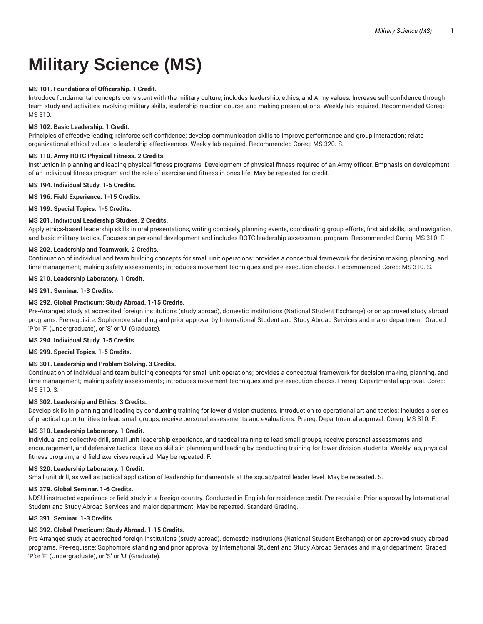# **Military Science (MS)**

# **MS 101. Foundations of Officership. 1 Credit.**

Introduce fundamental concepts consistent with the military culture; includes leadership, ethics, and Army values. Increase self-confidence through team study and activities involving military skills, leadership reaction course, and making presentations. Weekly lab required. Recommended Coreq: MS 310.

## **MS 102. Basic Leadership. 1 Credit.**

Principles of effective leading; reinforce self-confidence; develop communication skills to improve performance and group interaction; relate organizational ethical values to leadership effectiveness. Weekly lab required. Recommended Coreq: MS 320. S.

# **MS 110. Army ROTC Physical Fitness. 2 Credits.**

Instruction in planning and leading physical fitness programs. Development of physical fitness required of an Army officer. Emphasis on development of an individual fitness program and the role of exercise and fitness in ones life. May be repeated for credit.

**MS 194. Individual Study. 1-5 Credits.**

#### **MS 196. Field Experience. 1-15 Credits.**

**MS 199. Special Topics. 1-5 Credits.**

## **MS 201. Individual Leadership Studies. 2 Credits.**

Apply ethics-based leadership skills in oral presentations, writing concisely, planning events, coordinating group efforts, first aid skills, land navigation, and basic military tactics. Focuses on personal development and includes ROTC leadership assessment program. Recommended Coreq: MS 310. F.

## **MS 202. Leadership and Teamwork. 2 Credits.**

Continuation of individual and team building concepts for small unit operations: provides a conceptual framework for decision making, planning, and time management; making safety assessments; introduces movement techniques and pre-execution checks. Recommended Coreq: MS 310. S.

#### **MS 210. Leadership Laboratory. 1 Credit.**

#### **MS 291. Seminar. 1-3 Credits.**

## **MS 292. Global Practicum: Study Abroad. 1-15 Credits.**

Pre-Arranged study at accredited foreign institutions (study abroad), domestic institutions (National Student Exchange) or on approved study abroad programs. Pre-requisite: Sophomore standing and prior approval by International Student and Study Abroad Services and major department. Graded 'P'or 'F' (Undergraduate), or 'S' or 'U' (Graduate).

## **MS 294. Individual Study. 1-5 Credits.**

**MS 299. Special Topics. 1-5 Credits.**

# **MS 301. Leadership and Problem Solving. 3 Credits.**

Continuation of individual and team building concepts for small unit operations; provides a conceptual framework for decision making, planning, and time management; making safety assessments; introduces movement techniques and pre-execution checks. Prereq: Departmental approval. Coreq: MS 310. S.

# **MS 302. Leadership and Ethics. 3 Credits.**

Develop skills in planning and leading by conducting training for lower division students. Introduction to operational art and tactics; includes a series of practical opportunities to lead small groups, receive personal assessments and evaluations. Prereq: Departmental approval. Coreq: MS 310. F.

## **MS 310. Leadership Laboratory. 1 Credit.**

Individual and collective drill, small unit leadership experience, and tactical training to lead small groups, receive personal assessments and encouragement, and defensive tactics. Develop skills in planning and leading by conducting training for lower-division students. Weekly lab, physical fitness program, and field exercises required. May be repeated. F.

## **MS 320. Leadership Laboratory. 1 Credit.**

Small unit drill, as well as tactical application of leadership fundamentals at the squad/patrol leader level. May be repeated. S.

# **MS 379. Global Seminar. 1-6 Credits.**

NDSU instructed experience or field study in a foreign country. Conducted in English for residence credit. Pre-requisite: Prior approval by International Student and Study Abroad Services and major department. May be repeated. Standard Grading.

#### **MS 391. Seminar. 1-3 Credits.**

## **MS 392. Global Practicum: Study Abroad. 1-15 Credits.**

Pre-Arranged study at accredited foreign institutions (study abroad), domestic institutions (National Student Exchange) or on approved study abroad programs. Pre-requisite: Sophomore standing and prior approval by International Student and Study Abroad Services and major department. Graded 'P'or 'F' (Undergraduate), or 'S' or 'U' (Graduate).